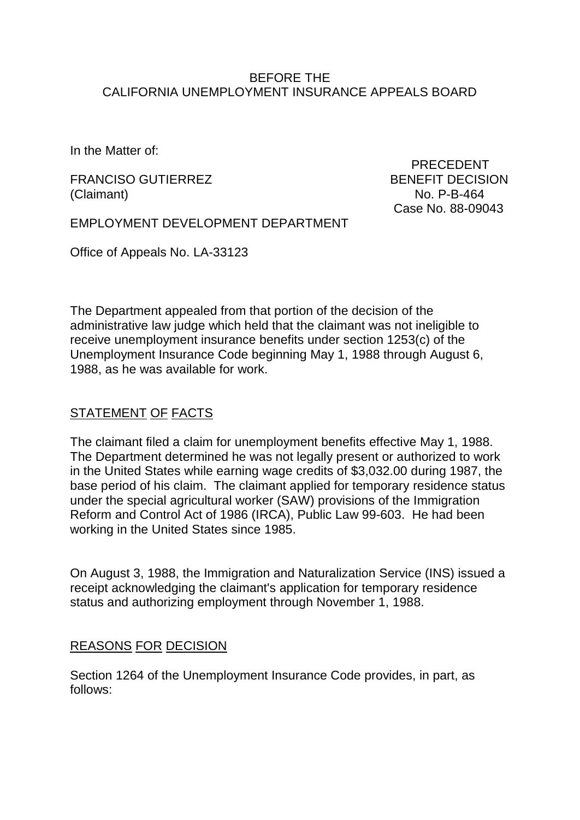## BEFORE THE CALIFORNIA UNEMPLOYMENT INSURANCE APPEALS BOARD

In the Matter of:

FRANCISO GUTIERREZ BENEFIT DECISION (Claimant) No. P-B-464

 PRECEDENT Case No. 88-09043

EMPLOYMENT DEVELOPMENT DEPARTMENT

Office of Appeals No. LA-33123

The Department appealed from that portion of the decision of the administrative law judge which held that the claimant was not ineligible to receive unemployment insurance benefits under section 1253(c) of the Unemployment Insurance Code beginning May 1, 1988 through August 6, 1988, as he was available for work.

# STATEMENT OF FACTS

The claimant filed a claim for unemployment benefits effective May 1, 1988. The Department determined he was not legally present or authorized to work in the United States while earning wage credits of \$3,032.00 during 1987, the base period of his claim. The claimant applied for temporary residence status under the special agricultural worker (SAW) provisions of the Immigration Reform and Control Act of 1986 (IRCA), Public Law 99-603. He had been working in the United States since 1985.

On August 3, 1988, the Immigration and Naturalization Service (INS) issued a receipt acknowledging the claimant's application for temporary residence status and authorizing employment through November 1, 1988.

## REASONS FOR DECISION

Section 1264 of the Unemployment Insurance Code provides, in part, as follows: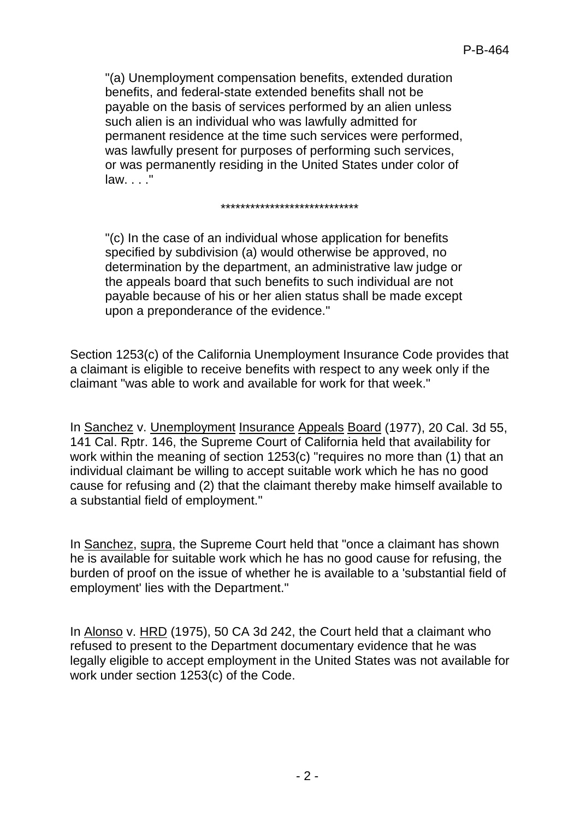"(a) Unemployment compensation benefits, extended duration benefits, and federal-state extended benefits shall not be payable on the basis of services performed by an alien unless such alien is an individual who was lawfully admitted for permanent residence at the time such services were performed, was lawfully present for purposes of performing such services, or was permanently residing in the United States under color of law. . . ."

#### \*\*\*\*\*\*\*\*\*\*\*\*\*\*\*\*\*\*\*\*\*\*\*\*\*\*\*\*

"(c) In the case of an individual whose application for benefits specified by subdivision (a) would otherwise be approved, no determination by the department, an administrative law judge or the appeals board that such benefits to such individual are not payable because of his or her alien status shall be made except upon a preponderance of the evidence."

Section 1253(c) of the California Unemployment Insurance Code provides that a claimant is eligible to receive benefits with respect to any week only if the claimant "was able to work and available for work for that week."

In Sanchez v. Unemployment Insurance Appeals Board (1977), 20 Cal. 3d 55, 141 Cal. Rptr. 146, the Supreme Court of California held that availability for work within the meaning of section 1253(c) "requires no more than (1) that an individual claimant be willing to accept suitable work which he has no good cause for refusing and (2) that the claimant thereby make himself available to a substantial field of employment."

In Sanchez, supra, the Supreme Court held that "once a claimant has shown he is available for suitable work which he has no good cause for refusing, the burden of proof on the issue of whether he is available to a 'substantial field of employment' lies with the Department."

In Alonso v. HRD (1975), 50 CA 3d 242, the Court held that a claimant who refused to present to the Department documentary evidence that he was legally eligible to accept employment in the United States was not available for work under section 1253(c) of the Code.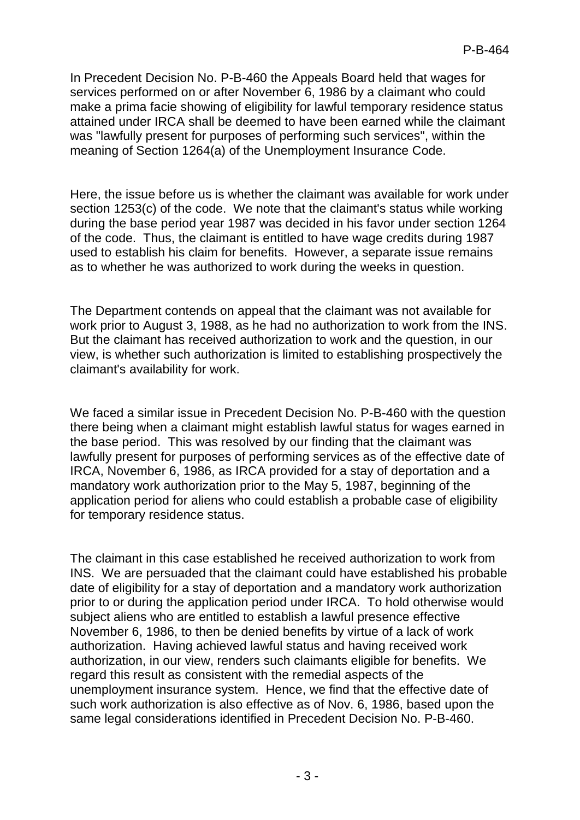In Precedent Decision No. P-B-460 the Appeals Board held that wages for services performed on or after November 6, 1986 by a claimant who could make a prima facie showing of eligibility for lawful temporary residence status attained under IRCA shall be deemed to have been earned while the claimant was "lawfully present for purposes of performing such services", within the meaning of Section 1264(a) of the Unemployment Insurance Code.

Here, the issue before us is whether the claimant was available for work under section 1253(c) of the code. We note that the claimant's status while working during the base period year 1987 was decided in his favor under section 1264 of the code. Thus, the claimant is entitled to have wage credits during 1987 used to establish his claim for benefits. However, a separate issue remains as to whether he was authorized to work during the weeks in question.

The Department contends on appeal that the claimant was not available for work prior to August 3, 1988, as he had no authorization to work from the INS. But the claimant has received authorization to work and the question, in our view, is whether such authorization is limited to establishing prospectively the claimant's availability for work.

We faced a similar issue in Precedent Decision No. P-B-460 with the question there being when a claimant might establish lawful status for wages earned in the base period. This was resolved by our finding that the claimant was lawfully present for purposes of performing services as of the effective date of IRCA, November 6, 1986, as IRCA provided for a stay of deportation and a mandatory work authorization prior to the May 5, 1987, beginning of the application period for aliens who could establish a probable case of eligibility for temporary residence status.

The claimant in this case established he received authorization to work from INS. We are persuaded that the claimant could have established his probable date of eligibility for a stay of deportation and a mandatory work authorization prior to or during the application period under IRCA. To hold otherwise would subject aliens who are entitled to establish a lawful presence effective November 6, 1986, to then be denied benefits by virtue of a lack of work authorization. Having achieved lawful status and having received work authorization, in our view, renders such claimants eligible for benefits. We regard this result as consistent with the remedial aspects of the unemployment insurance system. Hence, we find that the effective date of such work authorization is also effective as of Nov. 6, 1986, based upon the same legal considerations identified in Precedent Decision No. P-B-460.